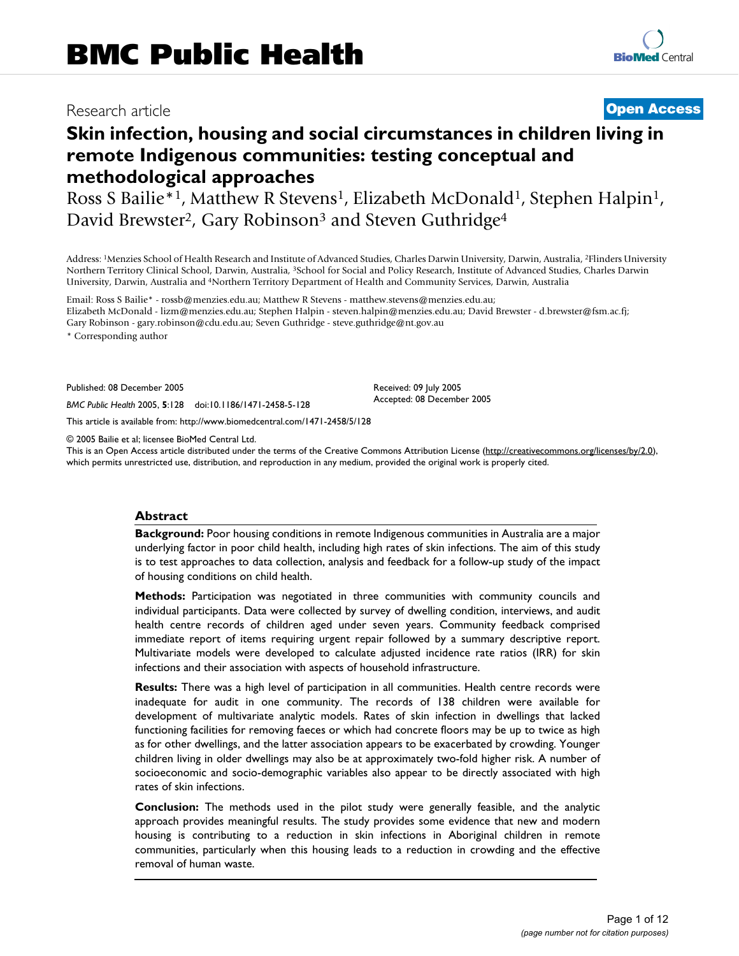# Research article **[Open Access](http://www.biomedcentral.com/info/about/charter/)**

# **Skin infection, housing and social circumstances in children living in remote Indigenous communities: testing conceptual and methodological approaches**

Ross S Bailie\*<sup>1</sup>, Matthew R Stevens<sup>1</sup>, Elizabeth McDonald<sup>1</sup>, Stephen Halpin<sup>1</sup>, David Brewster<sup>2</sup>, Gary Robinson<sup>3</sup> and Steven Guthridge<sup>4</sup>

Address: 1Menzies School of Health Research and Institute of Advanced Studies, Charles Darwin University, Darwin, Australia, 2Flinders University Northern Territory Clinical School, Darwin, Australia, 3School for Social and Policy Research, Institute of Advanced Studies, Charles Darwin University, Darwin, Australia and 4Northern Territory Department of Health and Community Services, Darwin, Australia

Email: Ross S Bailie\* - rossb@menzies.edu.au; Matthew R Stevens - matthew.stevens@menzies.edu.au; Elizabeth McDonald - lizm@menzies.edu.au; Stephen Halpin - steven.halpin@menzies.edu.au; David Brewster - d.brewster@fsm.ac.fj; Gary Robinson - gary.robinson@cdu.edu.au; Seven Guthridge - steve.guthridge@nt.gov.au

\* Corresponding author

Published: 08 December 2005

*BMC Public Health* 2005, **5**:128 doi:10.1186/1471-2458-5-128

[This article is available from: http://www.biomedcentral.com/1471-2458/5/128](http://www.biomedcentral.com/1471-2458/5/128)

© 2005 Bailie et al; licensee BioMed Central Ltd.

This is an Open Access article distributed under the terms of the Creative Commons Attribution License [\(http://creativecommons.org/licenses/by/2.0\)](http://creativecommons.org/licenses/by/2.0), which permits unrestricted use, distribution, and reproduction in any medium, provided the original work is properly cited.

Received: 09 July 2005 Accepted: 08 December 2005

# **Abstract**

**Background:** Poor housing conditions in remote Indigenous communities in Australia are a major underlying factor in poor child health, including high rates of skin infections. The aim of this study is to test approaches to data collection, analysis and feedback for a follow-up study of the impact of housing conditions on child health.

**Methods:** Participation was negotiated in three communities with community councils and individual participants. Data were collected by survey of dwelling condition, interviews, and audit health centre records of children aged under seven years. Community feedback comprised immediate report of items requiring urgent repair followed by a summary descriptive report. Multivariate models were developed to calculate adjusted incidence rate ratios (IRR) for skin infections and their association with aspects of household infrastructure.

**Results:** There was a high level of participation in all communities. Health centre records were inadequate for audit in one community. The records of 138 children were available for development of multivariate analytic models. Rates of skin infection in dwellings that lacked functioning facilities for removing faeces or which had concrete floors may be up to twice as high as for other dwellings, and the latter association appears to be exacerbated by crowding. Younger children living in older dwellings may also be at approximately two-fold higher risk. A number of socioeconomic and socio-demographic variables also appear to be directly associated with high rates of skin infections.

**Conclusion:** The methods used in the pilot study were generally feasible, and the analytic approach provides meaningful results. The study provides some evidence that new and modern housing is contributing to a reduction in skin infections in Aboriginal children in remote communities, particularly when this housing leads to a reduction in crowding and the effective removal of human waste.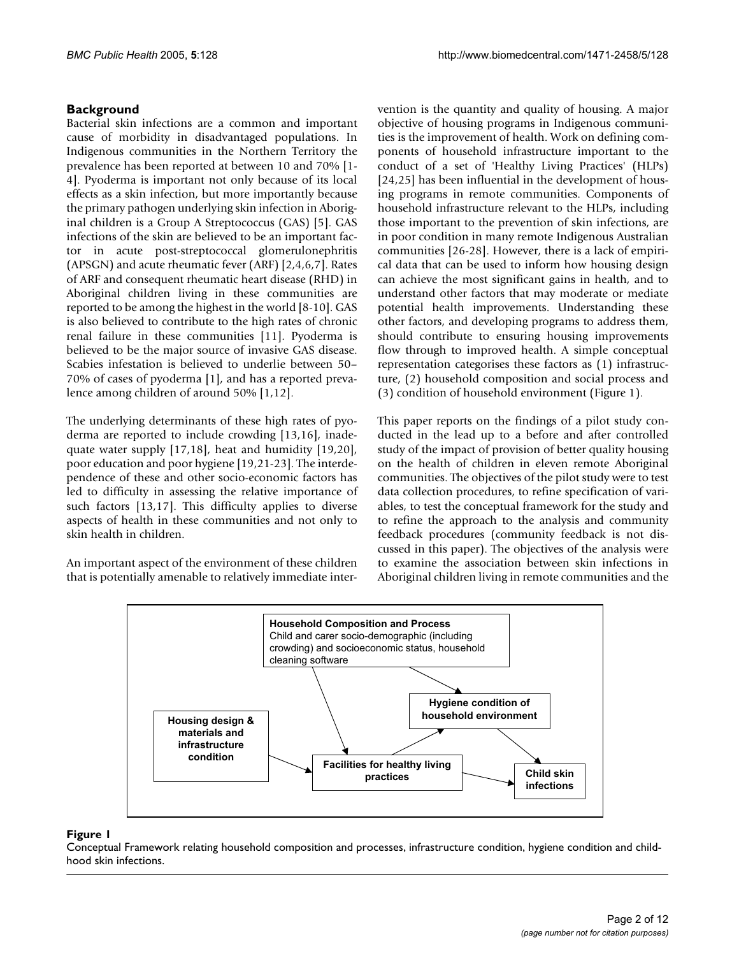# **Background**

Bacterial skin infections are a common and important cause of morbidity in disadvantaged populations. In Indigenous communities in the Northern Territory the prevalence has been reported at between 10 and 70% [1- 4]. Pyoderma is important not only because of its local effects as a skin infection, but more importantly because the primary pathogen underlying skin infection in Aboriginal children is a Group A Streptococcus (GAS) [5]. GAS infections of the skin are believed to be an important factor in acute post-streptococcal glomerulonephritis (APSGN) and acute rheumatic fever (ARF) [2,4,6,7]. Rates of ARF and consequent rheumatic heart disease (RHD) in Aboriginal children living in these communities are reported to be among the highest in the world [8-10]. GAS is also believed to contribute to the high rates of chronic renal failure in these communities [11]. Pyoderma is believed to be the major source of invasive GAS disease. Scabies infestation is believed to underlie between 50– 70% of cases of pyoderma [1], and has a reported prevalence among children of around 50% [1,12].

The underlying determinants of these high rates of pyoderma are reported to include crowding [13,16], inadequate water supply [17,18], heat and humidity [19,20], poor education and poor hygiene [19,21-23]. The interdependence of these and other socio-economic factors has led to difficulty in assessing the relative importance of such factors [13,17]. This difficulty applies to diverse aspects of health in these communities and not only to skin health in children.

An important aspect of the environment of these children that is potentially amenable to relatively immediate intervention is the quantity and quality of housing. A major objective of housing programs in Indigenous communities is the improvement of health. Work on defining components of household infrastructure important to the conduct of a set of 'Healthy Living Practices' (HLPs) [24,25] has been influential in the development of housing programs in remote communities. Components of household infrastructure relevant to the HLPs, including those important to the prevention of skin infections, are in poor condition in many remote Indigenous Australian communities [26-28]. However, there is a lack of empirical data that can be used to inform how housing design can achieve the most significant gains in health, and to understand other factors that may moderate or mediate potential health improvements. Understanding these other factors, and developing programs to address them, should contribute to ensuring housing improvements flow through to improved health. A simple conceptual representation categorises these factors as (1) infrastructure, (2) household composition and social process and (3) condition of household environment (Figure 1).

This paper reports on the findings of a pilot study conducted in the lead up to a before and after controlled study of the impact of provision of better quality housing on the health of children in eleven remote Aboriginal communities. The objectives of the pilot study were to test data collection procedures, to refine specification of variables, to test the conceptual framework for the study and to refine the approach to the analysis and community feedback procedures (community feedback is not discussed in this paper). The objectives of the analysis were to examine the association between skin infections in Aboriginal children living in remote communities and the



Conceptual Framework relating household composition and proces hood skin infections **Figure 1** ses, infrastructure condition, hygiene condition and child-Conceptual Framework relating household composition and processes, infrastructure condition, hygiene condition and childhood skin infections.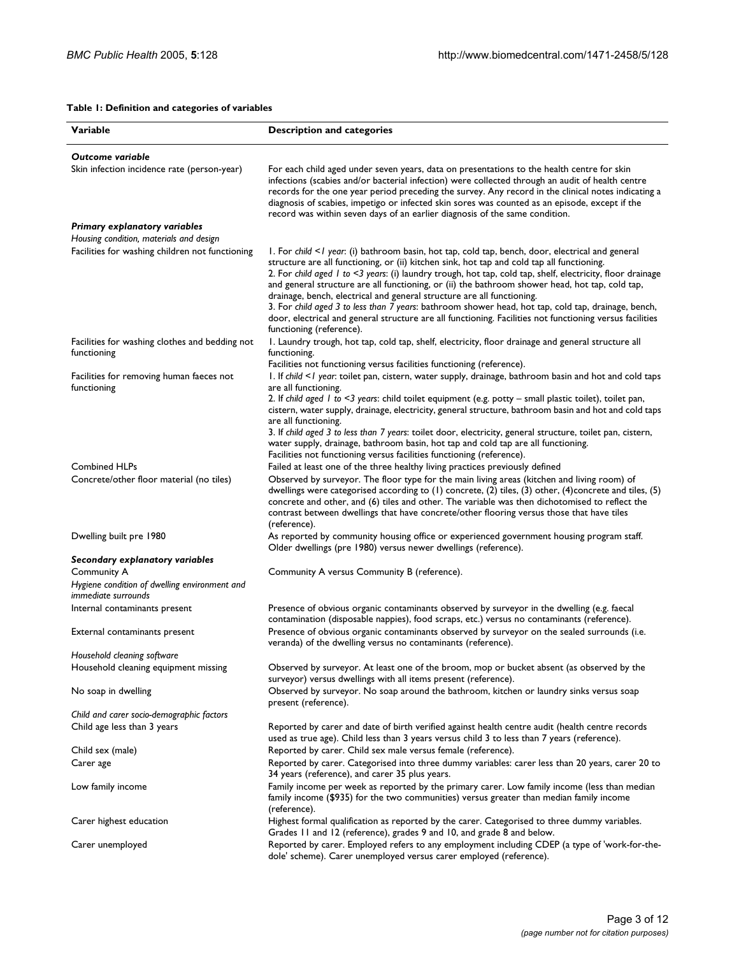#### **Table 1: Definition and categories of variables**

| Variable                                                      | <b>Description and categories</b>                                                                                                                                                                                                                                                                                                                                                                                                                                                                                                                                                                |
|---------------------------------------------------------------|--------------------------------------------------------------------------------------------------------------------------------------------------------------------------------------------------------------------------------------------------------------------------------------------------------------------------------------------------------------------------------------------------------------------------------------------------------------------------------------------------------------------------------------------------------------------------------------------------|
| Outcome variable                                              |                                                                                                                                                                                                                                                                                                                                                                                                                                                                                                                                                                                                  |
| Skin infection incidence rate (person-year)                   | For each child aged under seven years, data on presentations to the health centre for skin<br>infections (scabies and/or bacterial infection) were collected through an audit of health centre<br>records for the one year period preceding the survey. Any record in the clinical notes indicating a<br>diagnosis of scabies, impetigo or infected skin sores was counted as an episode, except if the<br>record was within seven days of an earlier diagnosis of the same condition.                                                                                                           |
| Primary explanatory variables                                 |                                                                                                                                                                                                                                                                                                                                                                                                                                                                                                                                                                                                  |
| Housing condition, materials and design                       |                                                                                                                                                                                                                                                                                                                                                                                                                                                                                                                                                                                                  |
| Facilities for washing children not functioning               | 1. For child <1 year: (i) bathroom basin, hot tap, cold tap, bench, door, electrical and general<br>structure are all functioning, or (ii) kitchen sink, hot tap and cold tap all functioning.<br>2. For child aged 1 to <3 years: (i) laundry trough, hot tap, cold tap, shelf, electricity, floor drainage<br>and general structure are all functioning, or (ii) the bathroom shower head, hot tap, cold tap,<br>drainage, bench, electrical and general structure are all functioning.<br>3. For child aged 3 to less than 7 years: bathroom shower head, hot tap, cold tap, drainage, bench, |
|                                                               | door, electrical and general structure are all functioning. Facilities not functioning versus facilities<br>functioning (reference).                                                                                                                                                                                                                                                                                                                                                                                                                                                             |
| Facilities for washing clothes and bedding not<br>functioning | 1. Laundry trough, hot tap, cold tap, shelf, electricity, floor drainage and general structure all<br>functioning.                                                                                                                                                                                                                                                                                                                                                                                                                                                                               |
|                                                               | Facilities not functioning versus facilities functioning (reference).                                                                                                                                                                                                                                                                                                                                                                                                                                                                                                                            |
| Facilities for removing human faeces not<br>functioning       | 1. If child <1 year: toilet pan, cistern, water supply, drainage, bathroom basin and hot and cold taps<br>are all functioning.                                                                                                                                                                                                                                                                                                                                                                                                                                                                   |
|                                                               | 2. If child aged $l$ to <3 years: child toilet equipment (e.g. potty $-$ small plastic toilet), toilet pan,<br>cistern, water supply, drainage, electricity, general structure, bathroom basin and hot and cold taps<br>are all functioning.                                                                                                                                                                                                                                                                                                                                                     |
|                                                               | 3. If child aged 3 to less than 7 years: toilet door, electricity, general structure, toilet pan, cistern,<br>water supply, drainage, bathroom basin, hot tap and cold tap are all functioning.<br>Facilities not functioning versus facilities functioning (reference).                                                                                                                                                                                                                                                                                                                         |
| Combined HLPs                                                 | Failed at least one of the three healthy living practices previously defined                                                                                                                                                                                                                                                                                                                                                                                                                                                                                                                     |
| Concrete/other floor material (no tiles)                      | Observed by surveyor. The floor type for the main living areas (kitchen and living room) of<br>dwellings were categorised according to $(1)$ concrete, $(2)$ tiles, $(3)$ other, $(4)$ concrete and tiles, $(5)$<br>concrete and other, and (6) tiles and other. The variable was then dichotomised to reflect the<br>contrast between dwellings that have concrete/other flooring versus those that have tiles<br>(reference).                                                                                                                                                                  |
| Dwelling built pre 1980                                       | As reported by community housing office or experienced government housing program staff.<br>Older dwellings (pre 1980) versus newer dwellings (reference).                                                                                                                                                                                                                                                                                                                                                                                                                                       |
| Secondary explanatory variables                               |                                                                                                                                                                                                                                                                                                                                                                                                                                                                                                                                                                                                  |
| Community A<br>Hygiene condition of dwelling environment and  | Community A versus Community B (reference).                                                                                                                                                                                                                                                                                                                                                                                                                                                                                                                                                      |
| immediate surrounds                                           |                                                                                                                                                                                                                                                                                                                                                                                                                                                                                                                                                                                                  |
| Internal contaminants present                                 | Presence of obvious organic contaminants observed by surveyor in the dwelling (e.g. faecal<br>contamination (disposable nappies), food scraps, etc.) versus no contaminants (reference).                                                                                                                                                                                                                                                                                                                                                                                                         |
| External contaminants present                                 | Presence of obvious organic contaminants observed by surveyor on the sealed surrounds (i.e.<br>veranda) of the dwelling versus no contaminants (reference).                                                                                                                                                                                                                                                                                                                                                                                                                                      |
| Household cleaning software                                   |                                                                                                                                                                                                                                                                                                                                                                                                                                                                                                                                                                                                  |
| Household cleaning equipment missing                          | Observed by surveyor. At least one of the broom, mop or bucket absent (as observed by the                                                                                                                                                                                                                                                                                                                                                                                                                                                                                                        |
| No soap in dwelling                                           | surveyor) versus dwellings with all items present (reference).<br>Observed by surveyor. No soap around the bathroom, kitchen or laundry sinks versus soap<br>present (reference).                                                                                                                                                                                                                                                                                                                                                                                                                |
| Child and carer socio-demographic factors                     |                                                                                                                                                                                                                                                                                                                                                                                                                                                                                                                                                                                                  |
| Child age less than 3 years                                   | Reported by carer and date of birth verified against health centre audit (health centre records<br>used as true age). Child less than 3 years versus child 3 to less than 7 years (reference).                                                                                                                                                                                                                                                                                                                                                                                                   |
| Child sex (male)                                              | Reported by carer. Child sex male versus female (reference).                                                                                                                                                                                                                                                                                                                                                                                                                                                                                                                                     |
| Carer age                                                     | Reported by carer. Categorised into three dummy variables: carer less than 20 years, carer 20 to<br>34 years (reference), and carer 35 plus years.                                                                                                                                                                                                                                                                                                                                                                                                                                               |
| Low family income                                             | Family income per week as reported by the primary carer. Low family income (less than median<br>family income (\$935) for the two communities) versus greater than median family income<br>(reference).                                                                                                                                                                                                                                                                                                                                                                                          |
| Carer highest education                                       | Highest formal qualification as reported by the carer. Categorised to three dummy variables.<br>Grades 11 and 12 (reference), grades 9 and 10, and grade 8 and below.                                                                                                                                                                                                                                                                                                                                                                                                                            |
| Carer unemployed                                              | Reported by carer. Employed refers to any employment including CDEP (a type of 'work-for-the-<br>dole' scheme). Carer unemployed versus carer employed (reference).                                                                                                                                                                                                                                                                                                                                                                                                                              |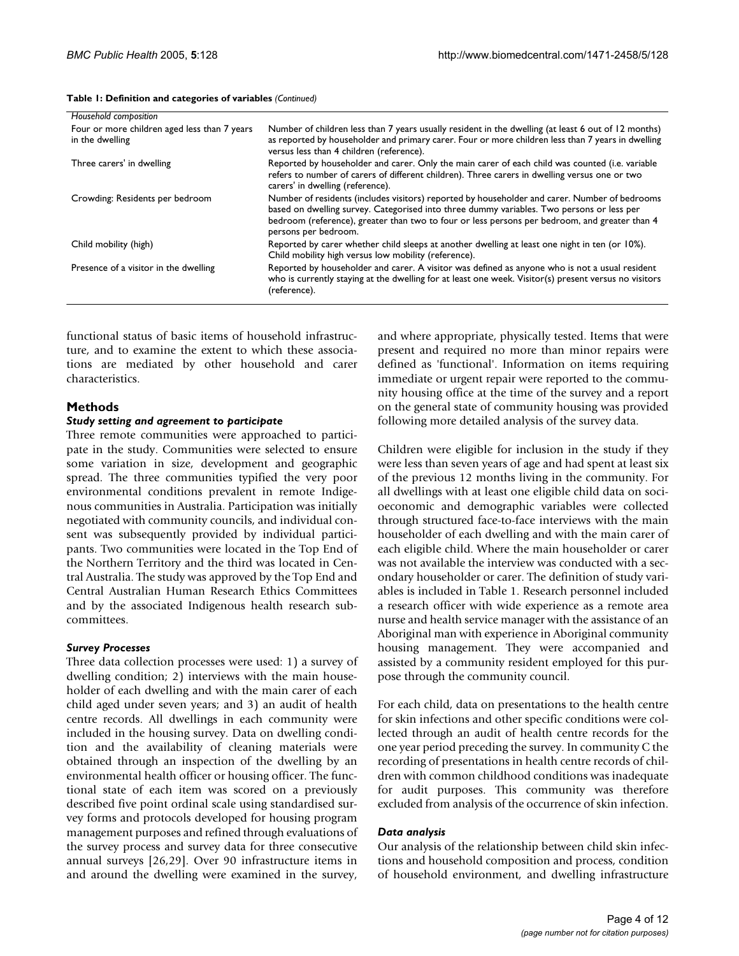| Household composition                                           |                                                                                                                                                                                                                                                                                                                     |
|-----------------------------------------------------------------|---------------------------------------------------------------------------------------------------------------------------------------------------------------------------------------------------------------------------------------------------------------------------------------------------------------------|
| Four or more children aged less than 7 years<br>in the dwelling | Number of children less than 7 years usually resident in the dwelling (at least 6 out of 12 months)<br>as reported by householder and primary carer. Four or more children less than 7 years in dwelling<br>versus less than 4 children (reference).                                                                |
| Three carers' in dwelling                                       | Reported by householder and carer. Only the main carer of each child was counted (i.e. variable<br>refers to number of carers of different children). Three carers in dwelling versus one or two<br>carers' in dwelling (reference).                                                                                |
| Crowding: Residents per bedroom                                 | Number of residents (includes visitors) reported by householder and carer. Number of bedrooms<br>based on dwelling survey. Categorised into three dummy variables. Two persons or less per<br>bedroom (reference), greater than two to four or less persons per bedroom, and greater than 4<br>persons per bedroom. |
| Child mobility (high)                                           | Reported by carer whether child sleeps at another dwelling at least one night in ten (or 10%).<br>Child mobility high versus low mobility (reference).                                                                                                                                                              |
| Presence of a visitor in the dwelling                           | Reported by householder and carer. A visitor was defined as anyone who is not a usual resident<br>who is currently staying at the dwelling for at least one week. Visitor(s) present versus no visitors<br>(reference).                                                                                             |

#### **Table 1: Definition and categories of variables** *(Continued)*

functional status of basic items of household infrastructure, and to examine the extent to which these associations are mediated by other household and carer characteristics.

# **Methods**

### *Study setting and agreement to participate*

Three remote communities were approached to participate in the study. Communities were selected to ensure some variation in size, development and geographic spread. The three communities typified the very poor environmental conditions prevalent in remote Indigenous communities in Australia. Participation was initially negotiated with community councils, and individual consent was subsequently provided by individual participants. Two communities were located in the Top End of the Northern Territory and the third was located in Central Australia. The study was approved by the Top End and Central Australian Human Research Ethics Committees and by the associated Indigenous health research subcommittees.

# *Survey Processes*

Three data collection processes were used: 1) a survey of dwelling condition; 2) interviews with the main householder of each dwelling and with the main carer of each child aged under seven years; and 3) an audit of health centre records. All dwellings in each community were included in the housing survey. Data on dwelling condition and the availability of cleaning materials were obtained through an inspection of the dwelling by an environmental health officer or housing officer. The functional state of each item was scored on a previously described five point ordinal scale using standardised survey forms and protocols developed for housing program management purposes and refined through evaluations of the survey process and survey data for three consecutive annual surveys [26,29]. Over 90 infrastructure items in and around the dwelling were examined in the survey,

and where appropriate, physically tested. Items that were present and required no more than minor repairs were defined as 'functional'. Information on items requiring immediate or urgent repair were reported to the community housing office at the time of the survey and a report on the general state of community housing was provided following more detailed analysis of the survey data.

Children were eligible for inclusion in the study if they were less than seven years of age and had spent at least six of the previous 12 months living in the community. For all dwellings with at least one eligible child data on socioeconomic and demographic variables were collected through structured face-to-face interviews with the main householder of each dwelling and with the main carer of each eligible child. Where the main householder or carer was not available the interview was conducted with a secondary householder or carer. The definition of study variables is included in Table 1. Research personnel included a research officer with wide experience as a remote area nurse and health service manager with the assistance of an Aboriginal man with experience in Aboriginal community housing management. They were accompanied and assisted by a community resident employed for this purpose through the community council.

For each child, data on presentations to the health centre for skin infections and other specific conditions were collected through an audit of health centre records for the one year period preceding the survey. In community C the recording of presentations in health centre records of children with common childhood conditions was inadequate for audit purposes. This community was therefore excluded from analysis of the occurrence of skin infection.

#### *Data analysis*

Our analysis of the relationship between child skin infections and household composition and process, condition of household environment, and dwelling infrastructure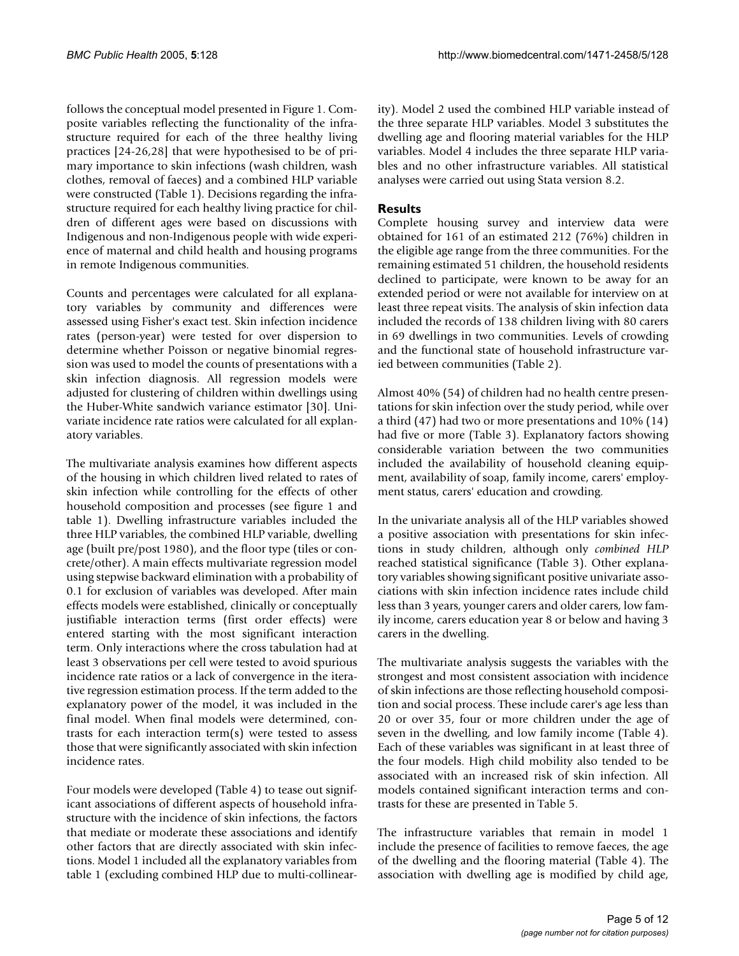follows the conceptual model presented in Figure 1. Composite variables reflecting the functionality of the infrastructure required for each of the three healthy living practices [24-26,28] that were hypothesised to be of primary importance to skin infections (wash children, wash clothes, removal of faeces) and a combined HLP variable were constructed (Table 1). Decisions regarding the infrastructure required for each healthy living practice for children of different ages were based on discussions with Indigenous and non-Indigenous people with wide experience of maternal and child health and housing programs in remote Indigenous communities.

Counts and percentages were calculated for all explanatory variables by community and differences were assessed using Fisher's exact test. Skin infection incidence rates (person-year) were tested for over dispersion to determine whether Poisson or negative binomial regression was used to model the counts of presentations with a skin infection diagnosis. All regression models were adjusted for clustering of children within dwellings using the Huber-White sandwich variance estimator [30]. Univariate incidence rate ratios were calculated for all explanatory variables.

The multivariate analysis examines how different aspects of the housing in which children lived related to rates of skin infection while controlling for the effects of other household composition and processes (see figure 1 and table 1). Dwelling infrastructure variables included the three HLP variables, the combined HLP variable, dwelling age (built pre/post 1980), and the floor type (tiles or concrete/other). A main effects multivariate regression model using stepwise backward elimination with a probability of 0.1 for exclusion of variables was developed. After main effects models were established, clinically or conceptually justifiable interaction terms (first order effects) were entered starting with the most significant interaction term. Only interactions where the cross tabulation had at least 3 observations per cell were tested to avoid spurious incidence rate ratios or a lack of convergence in the iterative regression estimation process. If the term added to the explanatory power of the model, it was included in the final model. When final models were determined, contrasts for each interaction term(s) were tested to assess those that were significantly associated with skin infection incidence rates.

Four models were developed (Table 4) to tease out significant associations of different aspects of household infrastructure with the incidence of skin infections, the factors that mediate or moderate these associations and identify other factors that are directly associated with skin infections. Model 1 included all the explanatory variables from table 1 (excluding combined HLP due to multi-collinearity). Model 2 used the combined HLP variable instead of the three separate HLP variables. Model 3 substitutes the dwelling age and flooring material variables for the HLP variables. Model 4 includes the three separate HLP variables and no other infrastructure variables. All statistical analyses were carried out using Stata version 8.2.

# **Results**

Complete housing survey and interview data were obtained for 161 of an estimated 212 (76%) children in the eligible age range from the three communities. For the remaining estimated 51 children, the household residents declined to participate, were known to be away for an extended period or were not available for interview on at least three repeat visits. The analysis of skin infection data included the records of 138 children living with 80 carers in 69 dwellings in two communities. Levels of crowding and the functional state of household infrastructure varied between communities (Table 2).

Almost 40% (54) of children had no health centre presentations for skin infection over the study period, while over a third (47) had two or more presentations and 10% (14) had five or more (Table 3). Explanatory factors showing considerable variation between the two communities included the availability of household cleaning equipment, availability of soap, family income, carers' employment status, carers' education and crowding.

In the univariate analysis all of the HLP variables showed a positive association with presentations for skin infections in study children, although only *combined HLP* reached statistical significance (Table 3). Other explanatory variables showing significant positive univariate associations with skin infection incidence rates include child less than 3 years, younger carers and older carers, low family income, carers education year 8 or below and having 3 carers in the dwelling.

The multivariate analysis suggests the variables with the strongest and most consistent association with incidence of skin infections are those reflecting household composition and social process. These include carer's age less than 20 or over 35, four or more children under the age of seven in the dwelling, and low family income (Table 4). Each of these variables was significant in at least three of the four models. High child mobility also tended to be associated with an increased risk of skin infection. All models contained significant interaction terms and contrasts for these are presented in Table 5.

The infrastructure variables that remain in model 1 include the presence of facilities to remove faeces, the age of the dwelling and the flooring material (Table 4). The association with dwelling age is modified by child age,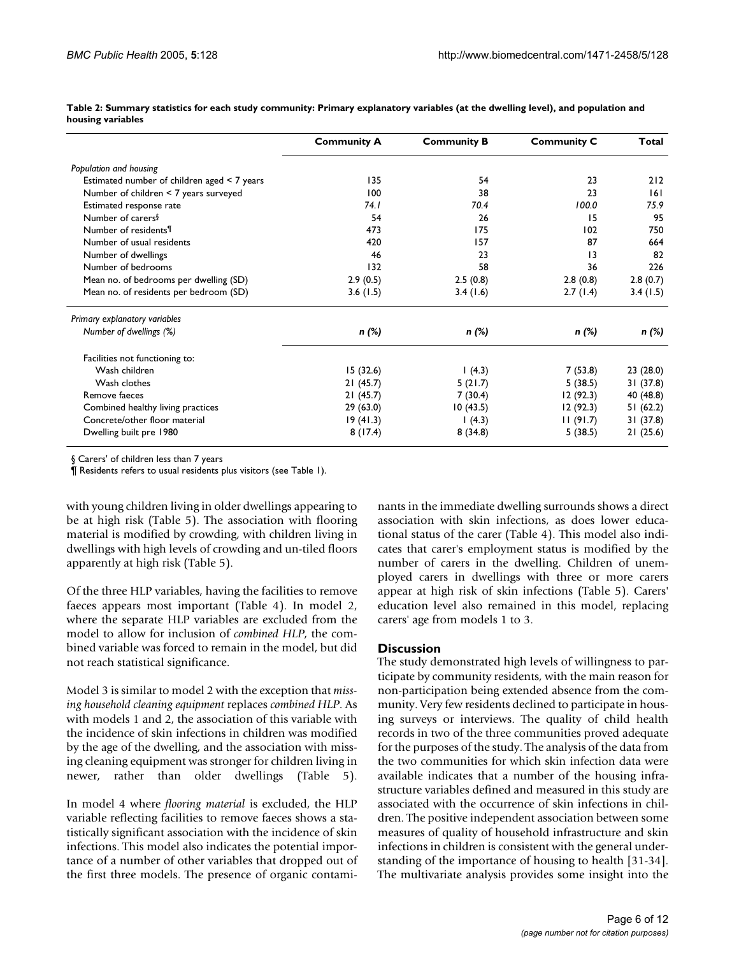|                                                                                                                                                                                                                                                                | <b>Community A</b>                                  | <b>Community B</b>                               | <b>Community C</b>                                            | Total                                               |                                        |          |          |          |          |
|----------------------------------------------------------------------------------------------------------------------------------------------------------------------------------------------------------------------------------------------------------------|-----------------------------------------------------|--------------------------------------------------|---------------------------------------------------------------|-----------------------------------------------------|----------------------------------------|----------|----------|----------|----------|
| Population and housing                                                                                                                                                                                                                                         |                                                     |                                                  |                                                               |                                                     |                                        |          |          |          |          |
| Estimated number of children aged < 7 years<br>Number of children < 7 years surveyed<br>Estimated response rate<br>Number of carers <sup>§</sup><br>Number of residents <sup>¶</sup><br>Number of usual residents<br>Number of dwellings<br>Number of bedrooms | 135<br>100<br>74.1<br>54<br>473<br>420<br>46<br>132 | 54<br>38<br>70.4<br>26<br>175<br>157<br>23<br>58 | 23<br>23<br>100.0<br>15<br>102<br>87<br>$\overline{13}$<br>36 | 212<br>161<br>75.9<br>95<br>750<br>664<br>82<br>226 |                                        |          |          |          |          |
|                                                                                                                                                                                                                                                                |                                                     |                                                  |                                                               |                                                     | Mean no. of bedrooms per dwelling (SD) | 2.9(0.5) | 2.5(0.8) | 2.8(0.8) | 2.8(0.7) |
|                                                                                                                                                                                                                                                                |                                                     |                                                  |                                                               |                                                     | Mean no. of residents per bedroom (SD) | 3.6(1.5) | 3.4(1.6) | 2.7(1.4) | 3.4(1.5) |
|                                                                                                                                                                                                                                                                |                                                     |                                                  |                                                               |                                                     | Primary explanatory variables          |          |          |          |          |
|                                                                                                                                                                                                                                                                |                                                     |                                                  |                                                               |                                                     | Number of dwellings (%)                | n (%)    | n (%)    | n (%)    | n (%)    |
|                                                                                                                                                                                                                                                                |                                                     |                                                  |                                                               |                                                     | Facilities not functioning to:         |          |          |          |          |
|                                                                                                                                                                                                                                                                |                                                     |                                                  |                                                               |                                                     | Wash children                          | 15(32.6) | 1(4.3)   | 7(53.8)  | 23(28.0) |
|                                                                                                                                                                                                                                                                |                                                     |                                                  |                                                               |                                                     | Wash clothes                           | 21(45.7) | 5(21.7)  | 5(38.5)  | 31(37.8) |
| Remove faeces                                                                                                                                                                                                                                                  | 21(45.7)                                            | 7(30.4)                                          | 12(92.3)                                                      | 40 (48.8)                                           |                                        |          |          |          |          |
| Combined healthy living practices                                                                                                                                                                                                                              | 29(63.0)                                            | 10(43.5)                                         | 12(92.3)                                                      | 51(62.2)                                            |                                        |          |          |          |          |
| Concrete/other floor material                                                                                                                                                                                                                                  | 19(41.3)                                            | 1(4.3)                                           | 11(91.7)                                                      | 31 (37.8)                                           |                                        |          |          |          |          |
| Dwelling built pre 1980                                                                                                                                                                                                                                        | 8(17.4)                                             | 8(34.8)                                          | 5(38.5)                                                       | 21(25.6)                                            |                                        |          |          |          |          |

**Table 2: Summary statistics for each study community: Primary explanatory variables (at the dwelling level), and population and housing variables**

§ Carers' of children less than 7 years

¶ Residents refers to usual residents plus visitors (see Table 1).

with young children living in older dwellings appearing to be at high risk (Table 5). The association with flooring material is modified by crowding, with children living in dwellings with high levels of crowding and un-tiled floors apparently at high risk (Table 5).

Of the three HLP variables, having the facilities to remove faeces appears most important (Table 4). In model 2, where the separate HLP variables are excluded from the model to allow for inclusion of *combined HLP*, the combined variable was forced to remain in the model, but did not reach statistical significance.

Model 3 is similar to model 2 with the exception that *missing household cleaning equipment* replaces *combined HLP*. As with models 1 and 2, the association of this variable with the incidence of skin infections in children was modified by the age of the dwelling, and the association with missing cleaning equipment was stronger for children living in newer, rather than older dwellings (Table 5).

In model 4 where *flooring material* is excluded, the HLP variable reflecting facilities to remove faeces shows a statistically significant association with the incidence of skin infections. This model also indicates the potential importance of a number of other variables that dropped out of the first three models. The presence of organic contaminants in the immediate dwelling surrounds shows a direct association with skin infections, as does lower educational status of the carer (Table 4). This model also indicates that carer's employment status is modified by the number of carers in the dwelling. Children of unemployed carers in dwellings with three or more carers appear at high risk of skin infections (Table 5). Carers' education level also remained in this model, replacing carers' age from models 1 to 3.

# **Discussion**

The study demonstrated high levels of willingness to participate by community residents, with the main reason for non-participation being extended absence from the community. Very few residents declined to participate in housing surveys or interviews. The quality of child health records in two of the three communities proved adequate for the purposes of the study. The analysis of the data from the two communities for which skin infection data were available indicates that a number of the housing infrastructure variables defined and measured in this study are associated with the occurrence of skin infections in children. The positive independent association between some measures of quality of household infrastructure and skin infections in children is consistent with the general understanding of the importance of housing to health [31-34]. The multivariate analysis provides some insight into the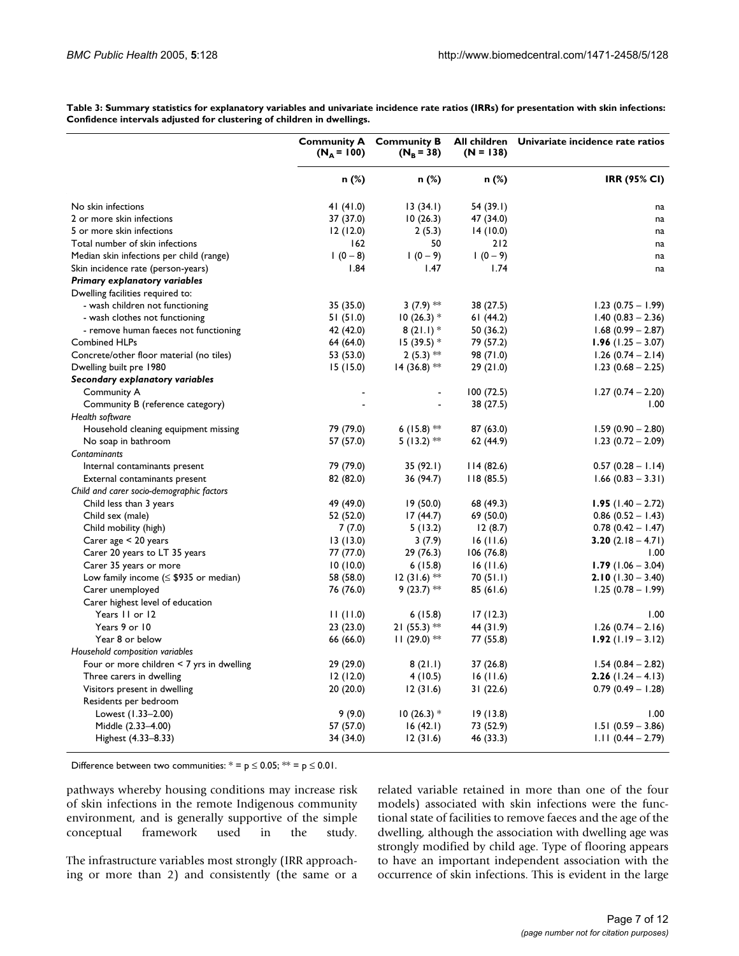**Community A**  $(N_A = 100)$ **Community B**  $(N_B = 38)$ **All children (N = 138) Univariate incidence rate ratios n (%) n (%) n (%) IRR (95% CI)** No skin infections **13** (34.1) 13 (34.1) 54 (39.1) 13 (34.1) **54** (39.1) 13 (34.1) **13** (39.1) 2 or more skin infections and the state of the state of 37 (37.0) 10 (26.3) 47 (34.0) 12 mag 5 or more skin infections 12 (12.0) 2 (5.3) 14 (10.0) na Total number of skin infections (and the context of skin infections per child (range) and the context of the context of the context of the context of the context of the context of the context of the context of the context Median skin infections per child (range)  $1(0-8)$   $1(0-9)$   $1(0-9)$ Skin incidence rate (person-years) and the state of the state of the state of the state of the state of the state of the state of the state of the state of the state of the state of the state of the state of the state of t *Primary explanatory variables*  Dwelling facilities required to: - wash children not functioning 25 (35.0) 3 (7.9)  $*$  38 (27.5) 1.23 (0.75 – 1.99) - wash clothes not functioning 51 (51.0) 10 (26.3) \* 61 (44.2) 1.40 (0.83 – 2.36) - remove human faeces not functioning 42 (42.0) 8 (21.1) \* 50 (36.2) 1.68 (0.99 – 2.87) Combined HLPs 64 (64.0) 15 (39.5) \* 79 (57.2) **1.96** (1.25 – 3.07) Concrete/other floor material (no tiles) 53 (53.0) 53 (53.0) 2 (5.3) <sup>\*\*</sup> 98 (71.0) 1.26 (0.74 – 2.14) Dwelling built pre 1980 15 (15.0) 14 (36.8) \*\* 29 (21.0) 1.23 (0.68 – 2.25) *Secondary explanatory variables* Community A - - 100 (72.5) 1.27 (0.74 – 2.20) Community B (reference category) and the set of the set of the set of the set of the set of the set of the set of the set of the set of the set of the set of the set of the set of the set of the set of the set of the set o *Health software* Household cleaning equipment missing 79 (79.0) 6 (15.8) \*\* 87 (63.0) 1.59 (0.90 – 2.80) No soap in bathroom 67 (57.0) 57 (57.0) 57 (57.0) 57 (13.2)  $**$  62 (44.9) 1.23 (0.72 – 2.09) *Contaminants* Internal contaminants present 79 (79.0) 35 (92.1) 114 (82.6) 0.57 (0.28 – 1.14) External contaminants present 82 (82.0) 36 (94.7) 118 (85.5) 1.66 (0.83 – 3.31) *Child and carer socio-demographic factors* Child less than 3 years 49 (49.0) 19 (50.0) 68 (49.3) **1.95** (1.40 – 2.72) Child sex (male) 52 (52.0) 17 (44.7) 69 (50.0) 0.86 (0.52 – 1.43) Child mobility (high) 7 (7.0) 5 (13.2) 12 (8.7) 0.78 (0.42 – 1.47) Carer age < 20 years **13 (13.0)** 3 (7.9) 16 (11.6) **3.20** (2.18 – 4.71)<br>Carer 20 years to LT 35 years **3.20** (3.18 – 1.00) 29 (76.3) 106 (76.8) **3.20** (2.18 – 4.71) Carer 20 years to LT 35 years to LT 35 years to contract the contract of the contract of the control of the co<br>Carer 35 years or more that the contract of the control of the control of the control of the control of the con Carer 35 years or more 10 (10.0) 6 (15.8) 16 (11.6) Low family income (≤ \$935 or median) 58 (58.0) 12 (31.6) \*\* 70 (51.1) **2.10** (1.30 – 3.40) Carer unemployed 76 (76.0) 9 (23.7) \*\* 85 (61.6) 1.25 (0.78 – 1.99) Carer highest level of education Years 11 or 12 11 (11.0) 6 (15.8) 17 (12.3) 1.00 Years 9 or 10 23 (23.0) 21 (55.3) \*\* 44 (31.9) 1.26 (0.74 – 2.16) Year 8 or below 66 (66.0) 11 (29.0) \*\* 77 (55.8) **1.92** (1.19 – 3.12) *Household composition variables* Four or more children < 7 yrs in dwelling 29 (29.0) 8 (21.1) 37 (26.8) 1.54 (0.84 – 2.82) Three carers in dwelling 12 (12.0) 4 (10.5) 16 (11.6) **2.26** (1.24 – 4.13) Visitors present in dwelling 20 (20.0) 12 (31.6) 31 (22.6) 0.79 (0.49 – 1.28) Residents per bedroom Lowest (1.33–2.00) **9 (9.0)** 10 (26.3) \* 19 (13.8) 1.00 Middle (2.33–4.00) 57 (57.0) 16 (42.1) 73 (52.9) 1.51 (0.59 – 3.86) Highest (4.33–8.33) 34 (34.0) 12 (31.6) 46 (33.3) 1.11 (0.44 – 2.79)

**Table 3: Summary statistics for explanatory variables and univariate incidence rate ratios (IRRs) for presentation with skin infections: Confidence intervals adjusted for clustering of children in dwellings.**

Difference between two communities:  $* = p \le 0.05$ ;  $** = p \le 0.01$ .

pathways whereby housing conditions may increase risk of skin infections in the remote Indigenous community environment, and is generally supportive of the simple conceptual framework used in the study.

The infrastructure variables most strongly (IRR approaching or more than 2) and consistently (the same or a

related variable retained in more than one of the four models) associated with skin infections were the functional state of facilities to remove faeces and the age of the dwelling, although the association with dwelling age was strongly modified by child age. Type of flooring appears to have an important independent association with the occurrence of skin infections. This is evident in the large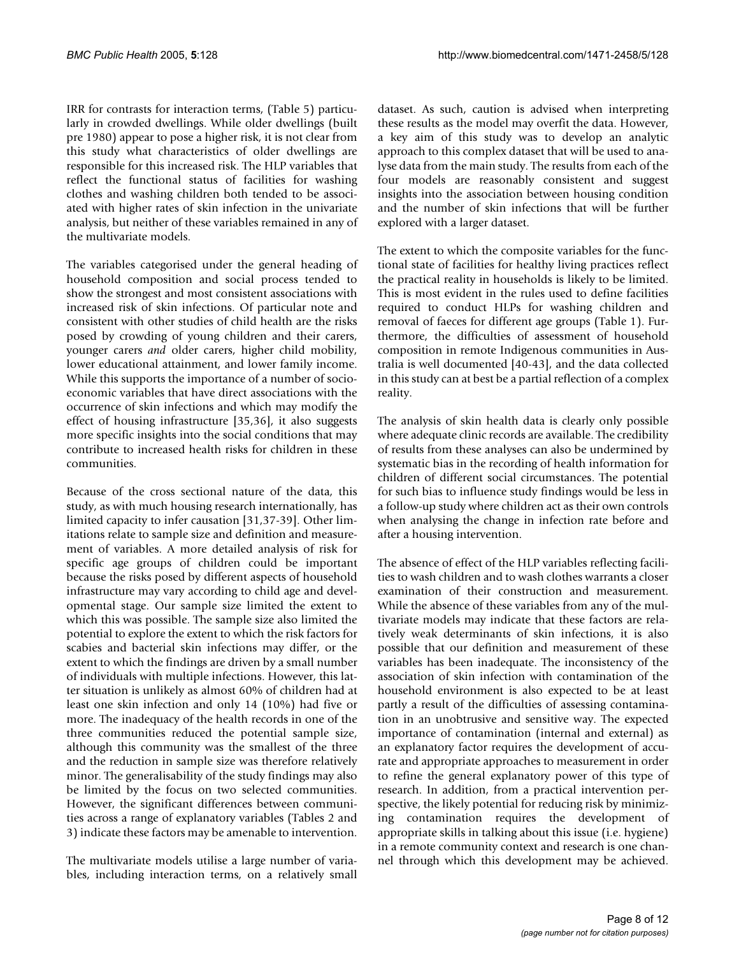IRR for contrasts for interaction terms, (Table 5) particularly in crowded dwellings. While older dwellings (built pre 1980) appear to pose a higher risk, it is not clear from this study what characteristics of older dwellings are responsible for this increased risk. The HLP variables that reflect the functional status of facilities for washing clothes and washing children both tended to be associated with higher rates of skin infection in the univariate analysis, but neither of these variables remained in any of the multivariate models.

The variables categorised under the general heading of household composition and social process tended to show the strongest and most consistent associations with increased risk of skin infections. Of particular note and consistent with other studies of child health are the risks posed by crowding of young children and their carers, younger carers *and* older carers, higher child mobility, lower educational attainment, and lower family income. While this supports the importance of a number of socioeconomic variables that have direct associations with the occurrence of skin infections and which may modify the effect of housing infrastructure [35,36], it also suggests more specific insights into the social conditions that may contribute to increased health risks for children in these communities.

Because of the cross sectional nature of the data, this study, as with much housing research internationally, has limited capacity to infer causation [31,37-39]. Other limitations relate to sample size and definition and measurement of variables. A more detailed analysis of risk for specific age groups of children could be important because the risks posed by different aspects of household infrastructure may vary according to child age and developmental stage. Our sample size limited the extent to which this was possible. The sample size also limited the potential to explore the extent to which the risk factors for scabies and bacterial skin infections may differ, or the extent to which the findings are driven by a small number of individuals with multiple infections. However, this latter situation is unlikely as almost 60% of children had at least one skin infection and only 14 (10%) had five or more. The inadequacy of the health records in one of the three communities reduced the potential sample size, although this community was the smallest of the three and the reduction in sample size was therefore relatively minor. The generalisability of the study findings may also be limited by the focus on two selected communities. However, the significant differences between communities across a range of explanatory variables (Tables 2 and 3) indicate these factors may be amenable to intervention.

The multivariate models utilise a large number of variables, including interaction terms, on a relatively small

dataset. As such, caution is advised when interpreting these results as the model may overfit the data. However, a key aim of this study was to develop an analytic approach to this complex dataset that will be used to analyse data from the main study. The results from each of the four models are reasonably consistent and suggest insights into the association between housing condition and the number of skin infections that will be further explored with a larger dataset.

The extent to which the composite variables for the functional state of facilities for healthy living practices reflect the practical reality in households is likely to be limited. This is most evident in the rules used to define facilities required to conduct HLPs for washing children and removal of faeces for different age groups (Table 1). Furthermore, the difficulties of assessment of household composition in remote Indigenous communities in Australia is well documented [40-43], and the data collected in this study can at best be a partial reflection of a complex reality.

The analysis of skin health data is clearly only possible where adequate clinic records are available. The credibility of results from these analyses can also be undermined by systematic bias in the recording of health information for children of different social circumstances. The potential for such bias to influence study findings would be less in a follow-up study where children act as their own controls when analysing the change in infection rate before and after a housing intervention.

The absence of effect of the HLP variables reflecting facilities to wash children and to wash clothes warrants a closer examination of their construction and measurement. While the absence of these variables from any of the multivariate models may indicate that these factors are relatively weak determinants of skin infections, it is also possible that our definition and measurement of these variables has been inadequate. The inconsistency of the association of skin infection with contamination of the household environment is also expected to be at least partly a result of the difficulties of assessing contamination in an unobtrusive and sensitive way. The expected importance of contamination (internal and external) as an explanatory factor requires the development of accurate and appropriate approaches to measurement in order to refine the general explanatory power of this type of research. In addition, from a practical intervention perspective, the likely potential for reducing risk by minimizing contamination requires the development of appropriate skills in talking about this issue (i.e. hygiene) in a remote community context and research is one channel through which this development may be achieved.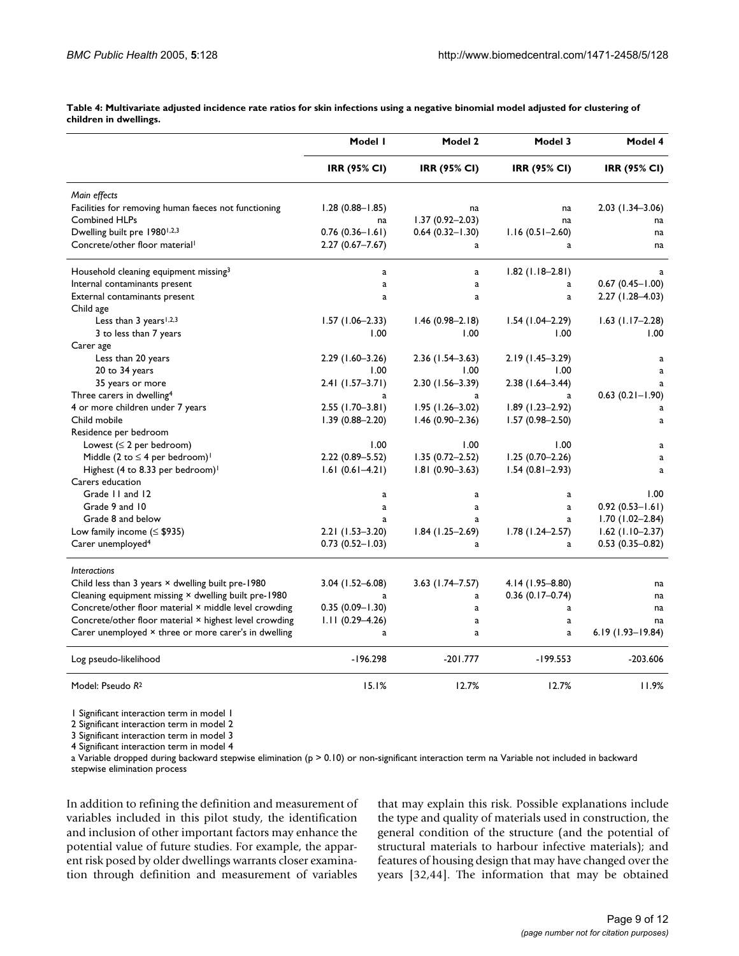**Table 4: Multivariate adjusted incidence rate ratios for skin infections using a negative binomial model adjusted for clustering of children in dwellings.**

|                                                        | Model I             | Model 2                | Model 3             | Model 4              |
|--------------------------------------------------------|---------------------|------------------------|---------------------|----------------------|
|                                                        | <b>IRR (95% CI)</b> | <b>IRR (95% CI)</b>    | <b>IRR (95% CI)</b> | <b>IRR (95% CI)</b>  |
| Main effects                                           |                     |                        |                     |                      |
| Facilities for removing human faeces not functioning   | $1.28(0.88 - 1.85)$ | na                     | na                  | 2.03 (1.34-3.06)     |
| Combined HLPs                                          | na                  | $1.37(0.92 - 2.03)$    | na                  | na                   |
| Dwelling built pre 1980 <sup>1,2,3</sup>               | $0.76(0.36 - 1.61)$ | $0.64$ $(0.32 - 1.30)$ | $1.16(0.51 - 2.60)$ | na                   |
| Concrete/other floor material <sup>1</sup>             | $2.27(0.67 - 7.67)$ | a                      | a                   | na                   |
| Household cleaning equipment missing <sup>3</sup>      | a                   | a                      | $1.82$ (1.18-2.81)  | a                    |
| Internal contaminants present                          | a                   | a                      | a                   | $0.67(0.45 - 1.00)$  |
| External contaminants present                          | $\mathbf{a}$        | $\mathbf{a}$           | a                   | 2.27 (1.28-4.03)     |
| Child age                                              |                     |                        |                     |                      |
| Less than 3 years <sup>1,2,3</sup>                     | $1.57(1.06 - 2.33)$ | $1.46(0.98-2.18)$      | $1.54(1.04-2.29)$   | $1.63$ (1.17-2.28)   |
| 3 to less than 7 years                                 | 1.00                | 1.00                   | 1.00                | 1.00                 |
| Carer age                                              |                     |                        |                     |                      |
| Less than 20 years                                     | $2.29(1.60-3.26)$   | 2.36 (1.54–3.63)       | 2.19 (1.45–3.29)    | a                    |
| 20 to 34 years                                         | 1.00                | 1.00                   | 1.00                | a                    |
| 35 years or more                                       | $2.41(1.57-3.71)$   | 2.30 (1.56–3.39)       | $2.38(1.64 - 3.44)$ | a                    |
| Three carers in dwelling <sup>4</sup>                  | $\mathbf a$         | a                      | a                   | $0.63(0.21 - 1.90)$  |
| 4 or more children under 7 years                       | 2.55 (1.70-3.81)    | $1.95(1.26 - 3.02)$    | $1.89(1.23 - 2.92)$ | a                    |
| Child mobile                                           | $1.39(0.88 - 2.20)$ | $1.46(0.90-2.36)$      | $1.57(0.98 - 2.50)$ | a                    |
| Residence per bedroom                                  |                     |                        |                     |                      |
| Lowest $( \leq 2$ per bedroom)                         | 1.00                | 1.00                   | 1.00                | a                    |
| Middle (2 to $\leq$ 4 per bedroom) <sup>1</sup>        | $2.22(0.89 - 5.52)$ | $1.35(0.72 - 2.52)$    | $1.25(0.70-2.26)$   | a                    |
| Highest (4 to 8.33 per bedroom) <sup>1</sup>           | $1.61(0.61-4.21)$   | $1.81(0.90 - 3.63)$    | $1.54(0.81 - 2.93)$ | $\mathbf{a}$         |
| Carers education                                       |                     |                        |                     |                      |
| Grade 11 and 12                                        | a                   | a                      | a                   | 1.00                 |
| Grade 9 and 10                                         | $\mathbf a$         | a                      | a                   | $0.92(0.53 - 1.61)$  |
| Grade 8 and below                                      | a                   | a                      | a                   | $1.70(1.02 - 2.84)$  |
| Low family income $( \leq$ \$935)                      | $2.21(1.53 - 3.20)$ | $1.84$ (1.25–2.69)     | $1.78(1.24 - 2.57)$ | $1.62$ (1.10-2.37)   |
| Carer unemployed <sup>4</sup>                          | $0.73(0.52 - 1.03)$ | a                      | a                   | $0.53(0.35 - 0.82)$  |
| <b>Interactions</b>                                    |                     |                        |                     |                      |
| Child less than 3 years × dwelling built pre-1980      | 3.04 (1.52–6.08)    | $3.63$ (1.74–7.57)     | 4.14 (1.95-8.80)    | na                   |
| Cleaning equipment missing × dwelling built pre-1980   | a                   | a                      | $0.36(0.17-0.74)$   | na                   |
| Concrete/other floor material × middle level crowding  | $0.35(0.09 - 1.30)$ | $\mathbf{a}$           | a                   | na                   |
| Concrete/other floor material × highest level crowding | $1.11(0.29 - 4.26)$ | $\mathbf{a}$           | $\mathbf{a}$        | na                   |
| Carer unemployed × three or more carer's in dwelling   | a                   | a                      | a                   | $6.19(1.93 - 19.84)$ |
| Log pseudo-likelihood                                  | -196.298            | $-201.777$             | -199.553            | $-203.606$           |
| Model: Pseudo R <sup>2</sup>                           | 15.1%               | 12.7%                  | 12.7%               | 11.9%                |

1 Significant interaction term in model 1

2 Significant interaction term in model 2

3 Significant interaction term in model 3

4 Significant interaction term in model 4

a Variable dropped during backward stepwise elimination (p > 0.10) or non-significant interaction term na Variable not included in backward stepwise elimination process

In addition to refining the definition and measurement of variables included in this pilot study, the identification and inclusion of other important factors may enhance the potential value of future studies. For example, the apparent risk posed by older dwellings warrants closer examination through definition and measurement of variables that may explain this risk. Possible explanations include the type and quality of materials used in construction, the general condition of the structure (and the potential of structural materials to harbour infective materials); and features of housing design that may have changed over the years [32,44]. The information that may be obtained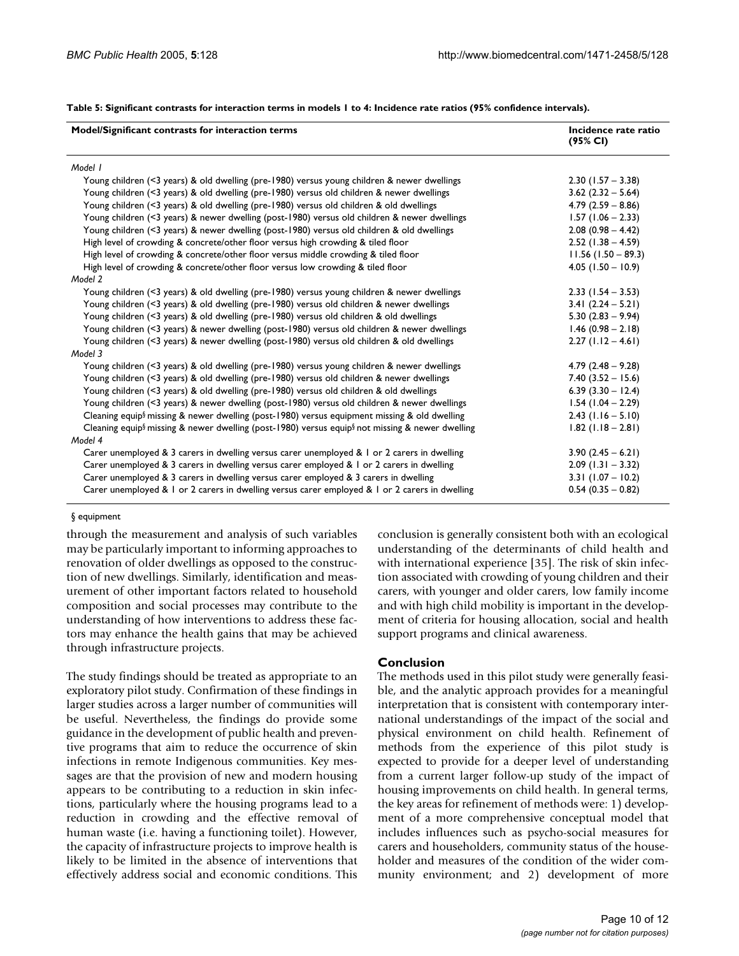**Table 5: Significant contrasts for interaction terms in models 1 to 4: Incidence rate ratios (95% confidence intervals).**

| Model/Significant contrasts for interaction terms                                                                       | Incidence rate ratio<br>(95% CI) |
|-------------------------------------------------------------------------------------------------------------------------|----------------------------------|
| Model 1                                                                                                                 |                                  |
| Young children (<3 years) & old dwelling (pre-1980) versus young children & newer dwellings                             | $2.30(1.57 - 3.38)$              |
| Young children (<3 years) & old dwelling (pre-1980) versus old children & newer dwellings                               | $3.62$ (2.32 - 5.64)             |
| Young children (<3 years) & old dwelling (pre-1980) versus old children & old dwellings                                 | $4.79(2.59 - 8.86)$              |
| Young children (<3 years) & newer dwelling (post-1980) versus old children & newer dwellings                            | $1.57(1.06 - 2.33)$              |
| Young children (<3 years) & newer dwelling (post-1980) versus old children & old dwellings                              | $2.08(0.98 - 4.42)$              |
| High level of crowding & concrete/other floor versus high crowding & tiled floor                                        | $2.52$ (1.38 - 4.59)             |
| High level of crowding & concrete/other floor versus middle crowding & tiled floor                                      | $11.56$ (1.50 – 89.3)            |
| High level of crowding & concrete/other floor versus low crowding & tiled floor                                         | $4.05$ (1.50 - 10.9)             |
| Model 2                                                                                                                 |                                  |
| Young children (<3 years) & old dwelling (pre-1980) versus young children & newer dwellings                             | $2.33$ (1.54 – 3.53)             |
| Young children (<3 years) & old dwelling (pre-1980) versus old children & newer dwellings                               | $3.41 (2.24 - 5.21)$             |
| Young children (<3 years) & old dwelling (pre-1980) versus old children & old dwellings                                 | $5.30(2.83 - 9.94)$              |
| Young children (<3 years) & newer dwelling (post-1980) versus old children & newer dwellings                            | $1.46$ (0.98 - 2.18)             |
| Young children (<3 years) & newer dwelling (post-1980) versus old children & old dwellings                              | $2.27$ (1.12 – 4.61)             |
| Model 3                                                                                                                 |                                  |
| Young children (<3 years) & old dwelling (pre-1980) versus young children & newer dwellings                             | $4.79$ (2.48 - 9.28)             |
| Young children (<3 years) & old dwelling (pre-1980) versus old children & newer dwellings                               | $7.40(3.52 - 15.6)$              |
| Young children (<3 years) & old dwelling (pre-1980) versus old children & old dwellings                                 | $6.39$ (3.30 - 12.4)             |
| Young children (<3 years) & newer dwelling (post-1980) versus old children & newer dwellings                            | $1.54$ (1.04 - 2.29)             |
| Cleaning equip <sup>§</sup> missing & newer dwelling (post-1980) versus equipment missing & old dwelling                | $2.43$ (1.16 – 5.10)             |
| Cleaning equip <sup>§</sup> missing & newer dwelling (post-1980) versus equip <sup>§</sup> not missing & newer dwelling | $1.82$ (1.18 – 2.81)             |
| Model 4                                                                                                                 |                                  |
| Carer unemployed & 3 carers in dwelling versus carer unemployed & 1 or 2 carers in dwelling                             | $3.90(2.45 - 6.21)$              |
| Carer unemployed & 3 carers in dwelling versus carer employed & 1 or 2 carers in dwelling                               | $2.09$ (1.31 - 3.32)             |
| Carer unemployed & 3 carers in dwelling versus carer employed & 3 carers in dwelling                                    | $3.31(1.07 - 10.2)$              |
| Carer unemployed & 1 or 2 carers in dwelling versus carer employed & 1 or 2 carers in dwelling                          | $0.54(0.35 - 0.82)$              |

### § equipment

through the measurement and analysis of such variables may be particularly important to informing approaches to renovation of older dwellings as opposed to the construction of new dwellings. Similarly, identification and measurement of other important factors related to household composition and social processes may contribute to the understanding of how interventions to address these factors may enhance the health gains that may be achieved through infrastructure projects.

The study findings should be treated as appropriate to an exploratory pilot study. Confirmation of these findings in larger studies across a larger number of communities will be useful. Nevertheless, the findings do provide some guidance in the development of public health and preventive programs that aim to reduce the occurrence of skin infections in remote Indigenous communities. Key messages are that the provision of new and modern housing appears to be contributing to a reduction in skin infections, particularly where the housing programs lead to a reduction in crowding and the effective removal of human waste (i.e. having a functioning toilet). However, the capacity of infrastructure projects to improve health is likely to be limited in the absence of interventions that effectively address social and economic conditions. This conclusion is generally consistent both with an ecological understanding of the determinants of child health and with international experience [35]. The risk of skin infection associated with crowding of young children and their carers, with younger and older carers, low family income and with high child mobility is important in the development of criteria for housing allocation, social and health support programs and clinical awareness.

# **Conclusion**

The methods used in this pilot study were generally feasible, and the analytic approach provides for a meaningful interpretation that is consistent with contemporary international understandings of the impact of the social and physical environment on child health. Refinement of methods from the experience of this pilot study is expected to provide for a deeper level of understanding from a current larger follow-up study of the impact of housing improvements on child health. In general terms, the key areas for refinement of methods were: 1) development of a more comprehensive conceptual model that includes influences such as psycho-social measures for carers and householders, community status of the householder and measures of the condition of the wider community environment; and 2) development of more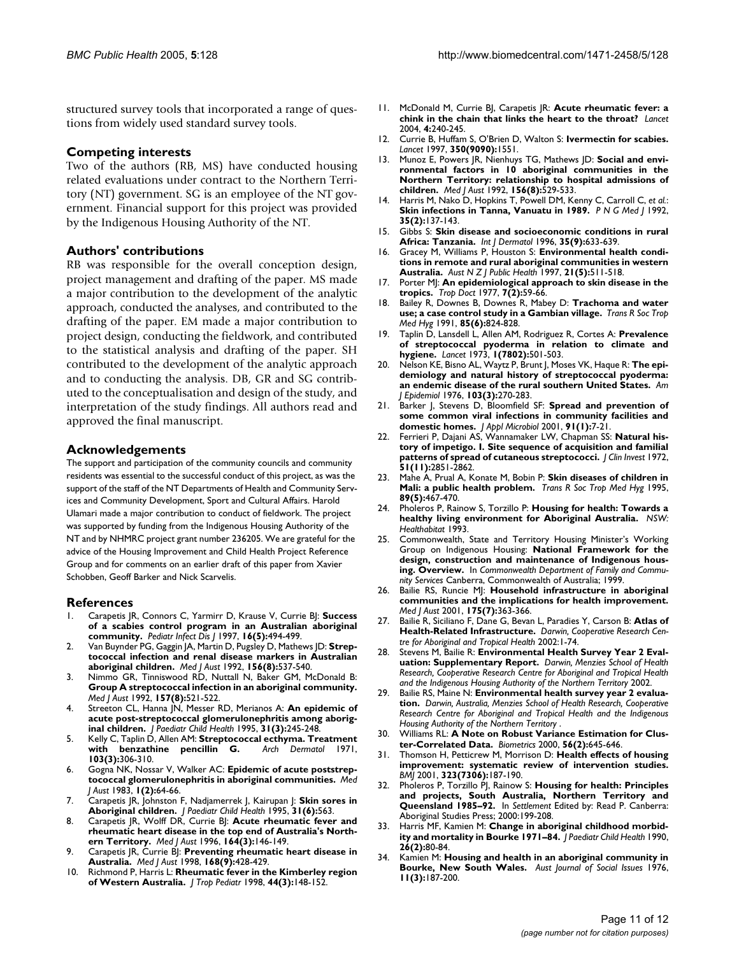structured survey tools that incorporated a range of questions from widely used standard survey tools.

# **Competing interests**

Two of the authors (RB, MS) have conducted housing related evaluations under contract to the Northern Territory (NT) government. SG is an employee of the NT government. Financial support for this project was provided by the Indigenous Housing Authority of the NT.

# **Authors' contributions**

RB was responsible for the overall conception design, project management and drafting of the paper. MS made a major contribution to the development of the analytic approach, conducted the analyses, and contributed to the drafting of the paper. EM made a major contribution to project design, conducting the fieldwork, and contributed to the statistical analysis and drafting of the paper. SH contributed to the development of the analytic approach and to conducting the analysis. DB, GR and SG contributed to the conceptualisation and design of the study, and interpretation of the study findings. All authors read and approved the final manuscript.

# **Acknowledgements**

The support and participation of the community councils and community residents was essential to the successful conduct of this project, as was the support of the staff of the NT Departments of Health and Community Services and Community Development, Sport and Cultural Affairs. Harold Ulamari made a major contribution to conduct of fieldwork. The project was supported by funding from the Indigenous Housing Authority of the NT and by NHMRC project grant number 236205. We are grateful for the advice of the Housing Improvement and Child Health Project Reference Group and for comments on an earlier draft of this paper from Xavier Schobben, Geoff Barker and Nick Scarvelis.

# **References**

- 1. Carapetis JR, Connors C, Yarmirr D, Krause V, Currie BJ: **[Success](http://www.ncbi.nlm.nih.gov/entrez/query.fcgi?cmd=Retrieve&db=PubMed&dopt=Abstract&list_uids=9154544) [of a scabies control program in an Australian aboriginal](http://www.ncbi.nlm.nih.gov/entrez/query.fcgi?cmd=Retrieve&db=PubMed&dopt=Abstract&list_uids=9154544) [community.](http://www.ncbi.nlm.nih.gov/entrez/query.fcgi?cmd=Retrieve&db=PubMed&dopt=Abstract&list_uids=9154544)** *Pediatr Infect Dis J* 1997, **16(5):**494-499.
- 2. Van Buynder PG, Gaggin JA, Martin D, Pugsley D, Mathews JD: **[Strep](http://www.ncbi.nlm.nih.gov/entrez/query.fcgi?cmd=Retrieve&db=PubMed&dopt=Abstract&list_uids=1565046)[tococcal infection and renal disease markers in Australian](http://www.ncbi.nlm.nih.gov/entrez/query.fcgi?cmd=Retrieve&db=PubMed&dopt=Abstract&list_uids=1565046) [aboriginal children.](http://www.ncbi.nlm.nih.gov/entrez/query.fcgi?cmd=Retrieve&db=PubMed&dopt=Abstract&list_uids=1565046)** *Med J Aust* 1992, **156(8):**537-540.
- 3. Nimmo GR, Tinniswood RD, Nuttall N, Baker GM, McDonald B: **[Group A streptococcal infection in an aboriginal community.](http://www.ncbi.nlm.nih.gov/entrez/query.fcgi?cmd=Retrieve&db=PubMed&dopt=Abstract&list_uids=1479971)** *Med J Aust* 1992, **157(8):**521-522.
- 4. Streeton CL, Hanna JN, Messer RD, Merianos A: **[An epidemic of](http://www.ncbi.nlm.nih.gov/entrez/query.fcgi?cmd=Retrieve&db=PubMed&dopt=Abstract&list_uids=7669388) [acute post-streptococcal glomerulonephritis among aborig](http://www.ncbi.nlm.nih.gov/entrez/query.fcgi?cmd=Retrieve&db=PubMed&dopt=Abstract&list_uids=7669388)[inal children.](http://www.ncbi.nlm.nih.gov/entrez/query.fcgi?cmd=Retrieve&db=PubMed&dopt=Abstract&list_uids=7669388)** *J Paediatr Child Health* 1995, **31(3):**245-248.
- 5. Kelly C, Taplin D, Allen AM: **[Streptococcal ecthyma. Treatment](http://www.ncbi.nlm.nih.gov/entrez/query.fcgi?cmd=Retrieve&db=PubMed&dopt=Abstract&list_uids=5548277)** with benzathine pencillin **G**. **103(3):**306-310.
- 6. Gogna NK, Nossar V, Walker AC: **[Epidemic of acute poststrep](http://www.ncbi.nlm.nih.gov/entrez/query.fcgi?cmd=Retrieve&db=PubMed&dopt=Abstract&list_uids=6571580)[tococcal glomerulonephritis in aboriginal communities.](http://www.ncbi.nlm.nih.gov/entrez/query.fcgi?cmd=Retrieve&db=PubMed&dopt=Abstract&list_uids=6571580)** *Med J Aust* 1983, **1(2):**64-66.
- 7. Carapetis JR, Johnston F, Nadjamerrek J, Kairupan J: **[Skin sores in](http://www.ncbi.nlm.nih.gov/entrez/query.fcgi?cmd=Retrieve&db=PubMed&dopt=Abstract&list_uids=8924314) [Aboriginal children.](http://www.ncbi.nlm.nih.gov/entrez/query.fcgi?cmd=Retrieve&db=PubMed&dopt=Abstract&list_uids=8924314)** *J Paediatr Child Health* 1995, **31(6):**563.
- 8. Carapetis JR, Wolff DR, Currie BJ: **[Acute rheumatic fever and](http://www.ncbi.nlm.nih.gov/entrez/query.fcgi?cmd=Retrieve&db=PubMed&dopt=Abstract&list_uids=8628132) [rheumatic heart disease in the top end of Australia's North](http://www.ncbi.nlm.nih.gov/entrez/query.fcgi?cmd=Retrieve&db=PubMed&dopt=Abstract&list_uids=8628132)[ern Territory.](http://www.ncbi.nlm.nih.gov/entrez/query.fcgi?cmd=Retrieve&db=PubMed&dopt=Abstract&list_uids=8628132)** *Med J Aust* 1996, **164(3):**146-149.
- 9. Carapetis JR, Currie BJ: **[Preventing rheumatic heart disease in](http://www.ncbi.nlm.nih.gov/entrez/query.fcgi?cmd=Retrieve&db=PubMed&dopt=Abstract&list_uids=9612451) [Australia.](http://www.ncbi.nlm.nih.gov/entrez/query.fcgi?cmd=Retrieve&db=PubMed&dopt=Abstract&list_uids=9612451)** *Med J Aust* 1998, **168(9):**428-429.
- 10. Richmond P, Harris L: **[Rheumatic fever in the Kimberley region](http://www.ncbi.nlm.nih.gov/entrez/query.fcgi?cmd=Retrieve&db=PubMed&dopt=Abstract&list_uids=9680779) [of Western Australia.](http://www.ncbi.nlm.nih.gov/entrez/query.fcgi?cmd=Retrieve&db=PubMed&dopt=Abstract&list_uids=9680779)** *J Trop Pediatr* 1998, **44(3):**148-152.
- 11. McDonald M, Currie BJ, Carapetis JR: **Acute rheumatic fever: a chink in the chain that links the heart to the throat?** *Lancet* 2004, **4:**240-245.
- 12. Currie B, Huffam S, O'Brien D, Walton S: **[Ivermectin for scabies.](http://www.ncbi.nlm.nih.gov/entrez/query.fcgi?cmd=Retrieve&db=PubMed&dopt=Abstract&list_uids=9388426)** *Lancet* 1997, **350(9090):**1551.
- 13. Munoz E, Powers JR, Nienhuys TG, Mathews JD: **[Social and envi](http://www.ncbi.nlm.nih.gov/entrez/query.fcgi?cmd=Retrieve&db=PubMed&dopt=Abstract&list_uids=1565044)ronmental factors in 10 aboriginal communities in the [Northern Territory: relationship to hospital admissions of](http://www.ncbi.nlm.nih.gov/entrez/query.fcgi?cmd=Retrieve&db=PubMed&dopt=Abstract&list_uids=1565044) [children.](http://www.ncbi.nlm.nih.gov/entrez/query.fcgi?cmd=Retrieve&db=PubMed&dopt=Abstract&list_uids=1565044)** *Med J Aust* 1992, **156(8):**529-533.
- 14. Harris M, Nako D, Hopkins T, Powell DM, Kenny C, Carroll C, *et al.*: **[Skin infections in Tanna, Vanuatu in 1989.](http://www.ncbi.nlm.nih.gov/entrez/query.fcgi?cmd=Retrieve&db=PubMed&dopt=Abstract&list_uids=1509813)** *P N G Med J* 1992, **35(2):**137-143.
- 15. Gibbs S: **[Skin disease and socioeconomic conditions in rural](http://www.ncbi.nlm.nih.gov/entrez/query.fcgi?cmd=Retrieve&db=PubMed&dopt=Abstract&list_uids=8876289) [Africa: Tanzania.](http://www.ncbi.nlm.nih.gov/entrez/query.fcgi?cmd=Retrieve&db=PubMed&dopt=Abstract&list_uids=8876289)** *Int J Dermatol* 1996, **35(9):**633-639.
- 16. Gracey M, Williams P, Houston S: **[Environmental health condi](http://www.ncbi.nlm.nih.gov/entrez/query.fcgi?cmd=Retrieve&db=PubMed&dopt=Abstract&list_uids=9343897)[tions in remote and rural aboriginal communities in western](http://www.ncbi.nlm.nih.gov/entrez/query.fcgi?cmd=Retrieve&db=PubMed&dopt=Abstract&list_uids=9343897) [Australia.](http://www.ncbi.nlm.nih.gov/entrez/query.fcgi?cmd=Retrieve&db=PubMed&dopt=Abstract&list_uids=9343897)** *Aust N Z J Public Health* 1997, **21(5):**511-518.
- 17. Porter MJ: **[An epidemiological approach to skin disease in the](http://www.ncbi.nlm.nih.gov/entrez/query.fcgi?cmd=Retrieve&db=PubMed&dopt=Abstract&list_uids=854974) [tropics.](http://www.ncbi.nlm.nih.gov/entrez/query.fcgi?cmd=Retrieve&db=PubMed&dopt=Abstract&list_uids=854974)** *Trop Doct* 1977, **7(2):**59-66.
- 18. Bailey R, Downes B, Downes R, Mabey D: **[Trachoma and water](http://www.ncbi.nlm.nih.gov/entrez/query.fcgi?cmd=Retrieve&db=PubMed&dopt=Abstract&list_uids=1801366) [use; a case control study in a Gambian village.](http://www.ncbi.nlm.nih.gov/entrez/query.fcgi?cmd=Retrieve&db=PubMed&dopt=Abstract&list_uids=1801366)** *Trans R Soc Trop Med Hyg* 1991, **85(6):**824-828.
- 19. Taplin D, Lansdell L, Allen AM, Rodriguez R, Cortes A: **[Prevalence](http://www.ncbi.nlm.nih.gov/entrez/query.fcgi?cmd=Retrieve&db=PubMed&dopt=Abstract&list_uids=4119945) [of streptococcal pyoderma in relation to climate and](http://www.ncbi.nlm.nih.gov/entrez/query.fcgi?cmd=Retrieve&db=PubMed&dopt=Abstract&list_uids=4119945) [hygiene.](http://www.ncbi.nlm.nih.gov/entrez/query.fcgi?cmd=Retrieve&db=PubMed&dopt=Abstract&list_uids=4119945)** *Lancet* 1973, **1(7802):**501-503.
- 20. Nelson KE, Bisno AL, Waytz P, Brunt J, Moses VK, Haque R: **[The epi](http://www.ncbi.nlm.nih.gov/entrez/query.fcgi?cmd=Retrieve&db=PubMed&dopt=Abstract&list_uids=769539)[demiology and natural history of streptococcal pyoderma:](http://www.ncbi.nlm.nih.gov/entrez/query.fcgi?cmd=Retrieve&db=PubMed&dopt=Abstract&list_uids=769539) [an endemic disease of the rural southern United States.](http://www.ncbi.nlm.nih.gov/entrez/query.fcgi?cmd=Retrieve&db=PubMed&dopt=Abstract&list_uids=769539)** *Am J Epidemiol* 1976, **103(3):**270-283.
- 21. Barker J, Stevens D, Bloomfield SF: **[Spread and prevention of](http://www.ncbi.nlm.nih.gov/entrez/query.fcgi?cmd=Retrieve&db=PubMed&dopt=Abstract&list_uids=11442709) [some common viral infections in community facilities and](http://www.ncbi.nlm.nih.gov/entrez/query.fcgi?cmd=Retrieve&db=PubMed&dopt=Abstract&list_uids=11442709) [domestic homes.](http://www.ncbi.nlm.nih.gov/entrez/query.fcgi?cmd=Retrieve&db=PubMed&dopt=Abstract&list_uids=11442709)** *J Appl Microbiol* 2001, **91(1):**7-21.
- 22. Ferrieri P, Dajani AS, Wannamaker LW, Chapman SS: **[Natural his](http://www.ncbi.nlm.nih.gov/entrez/query.fcgi?cmd=Retrieve&db=PubMed&dopt=Abstract&list_uids=5080412)[tory of impetigo. I. Site sequence of acquisition and familial](http://www.ncbi.nlm.nih.gov/entrez/query.fcgi?cmd=Retrieve&db=PubMed&dopt=Abstract&list_uids=5080412) [patterns of spread of cutaneous streptococci.](http://www.ncbi.nlm.nih.gov/entrez/query.fcgi?cmd=Retrieve&db=PubMed&dopt=Abstract&list_uids=5080412)** *J Clin Invest* 1972, **51(11):**2851-2862.
- 23. Mahe A, Prual A, Konate M, Bobin P: **[Skin diseases of children in](http://www.ncbi.nlm.nih.gov/entrez/query.fcgi?cmd=Retrieve&db=PubMed&dopt=Abstract&list_uids=8560510) [Mali: a public health problem.](http://www.ncbi.nlm.nih.gov/entrez/query.fcgi?cmd=Retrieve&db=PubMed&dopt=Abstract&list_uids=8560510)** *Trans R Soc Trop Med Hyg* 1995, **89(5):**467-470.
- 24. Pholeros P, Rainow S, Torzillo P: **Housing for health: Towards a healthy living environment for Aboriginal Australia.** *NSW: Healthabitat* 1993.
- 25. Commonwealth, State and Territory Housing Minister's Working Group on Indigenous Housing: **National Framework for the design, construction and maintenance of Indigenous housing. Overview.** In *Commonwealth Department of Family and Community Services* Canberra, Commonwealth of Australia; 1999.
- 26. Bailie RS, Runcie MJ: **[Household infrastructure in aboriginal](http://www.ncbi.nlm.nih.gov/entrez/query.fcgi?cmd=Retrieve&db=PubMed&dopt=Abstract&list_uids=11700813) [communities and the implications for health improvement.](http://www.ncbi.nlm.nih.gov/entrez/query.fcgi?cmd=Retrieve&db=PubMed&dopt=Abstract&list_uids=11700813)** *Med J Aust* 2001, **175(7):**363-366.
- 27. Bailie R, Siciliano F, Dane G, Bevan L, Paradies Y, Carson B: **Atlas of Health-Related Infrastructure.** *Darwin, Cooperative Research Centre for Aboriginal and Tropical Health* 2002:1-74.
- 28. Stevens M, Bailie R: **Environmental Health Survey Year 2 Evaluation: Supplementary Report.** *Darwin, Menzies School of Health Research, Cooperative Research Centre for Aboriginal and Tropical Health and the Indigenous Housing Authority of the Northern Territory* 2002.
- 29. Bailie RS, Maine N: **Environmental health survey year 2 evaluation.** *Darwin, Australia, Menzies School of Health Research, Cooperative Research Centre for Aboriginal and Tropical Health and the Indigenous Housing Authority of the Northern Territory* .
- 30. Williams RL: **[A Note on Robust Variance Estimation for Clus](http://www.ncbi.nlm.nih.gov/entrez/query.fcgi?cmd=Retrieve&db=PubMed&dopt=Abstract&list_uids=10877330)[ter-Correlated Data.](http://www.ncbi.nlm.nih.gov/entrez/query.fcgi?cmd=Retrieve&db=PubMed&dopt=Abstract&list_uids=10877330)** *Biometrics* 2000, **56(2):**645-646.
- 31. Thomson H, Petticrew M, Morrison D: **[Health effects of housing](http://www.ncbi.nlm.nih.gov/entrez/query.fcgi?cmd=Retrieve&db=PubMed&dopt=Abstract&list_uids=11473906) [improvement: systematic review of intervention studies.](http://www.ncbi.nlm.nih.gov/entrez/query.fcgi?cmd=Retrieve&db=PubMed&dopt=Abstract&list_uids=11473906)** *BMJ* 2001, **323(7306):**187-190.
- 32. Pholeros P, Torzillo PJ, Rainow S: **Housing for health: Principles and projects, South Australia, Northern Territory and Queensland 1985–92.** In *Settlement* Edited by: Read P. Canberra: Aboriginal Studies Press; 2000:199-208.
- 33. Harris MF, Kamien M: **[Change in aboriginal childhood morbid](http://www.ncbi.nlm.nih.gov/entrez/query.fcgi?cmd=Retrieve&db=PubMed&dopt=Abstract&list_uids=2361071)[ity and mortality in Bourke 1971–84.](http://www.ncbi.nlm.nih.gov/entrez/query.fcgi?cmd=Retrieve&db=PubMed&dopt=Abstract&list_uids=2361071)** *J Paediatr Child Health* 1990, **26(2):**80-84.
- 34. Kamien M: **Housing and health in an aboriginal community in Bourke, New South Wales.** *Aust Journal of Social Issues* 1976, **11(3):**187-200.